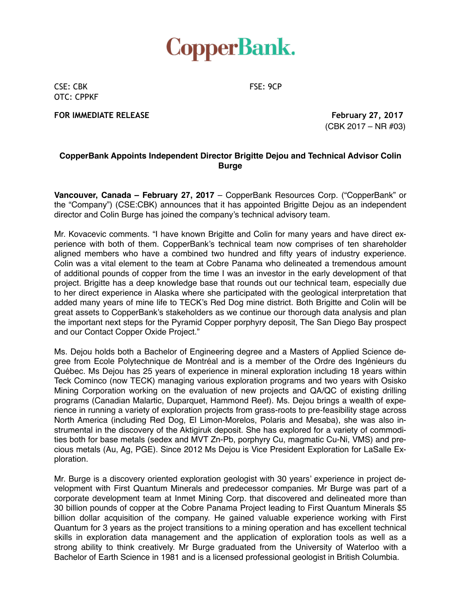## **CopperBank.**

CSE: CBK FSE: 9CP OTC: CPPKF

**FOR IMMEDIATE RELEASE February 27, 2017** 

(CBK 2017 – NR #03)

## **CopperBank Appoints Independent Director Brigitte Dejou and Technical Advisor Colin Burge**

**Vancouver, Canada – February 27, 2017** – CopperBank Resources Corp. ("CopperBank" or the "Company") (CSE:CBK) announces that it has appointed Brigitte Dejou as an independent director and Colin Burge has joined the company's technical advisory team.

Mr. Kovacevic comments. "I have known Brigitte and Colin for many years and have direct experience with both of them. CopperBank's technical team now comprises of ten shareholder aligned members who have a combined two hundred and fifty years of industry experience. Colin was a vital element to the team at Cobre Panama who delineated a tremendous amount of additional pounds of copper from the time I was an investor in the early development of that project. Brigitte has a deep knowledge base that rounds out our technical team, especially due to her direct experience in Alaska where she participated with the geological interpretation that added many years of mine life to TECK's Red Dog mine district. Both Brigitte and Colin will be great assets to CopperBank's stakeholders as we continue our thorough data analysis and plan the important next steps for the Pyramid Copper porphyry deposit, The San Diego Bay prospect and our Contact Copper Oxide Project."

Ms. Dejou holds both a Bachelor of Engineering degree and a Masters of Applied Science degree from Ecole Polytechnique de Montréal and is a member of the Ordre des Ingénieurs du Québec. Ms Dejou has 25 years of experience in mineral exploration including 18 years within Teck Cominco (now TECK) managing various exploration programs and two years with Osisko Mining Corporation working on the evaluation of new projects and QA/QC of existing drilling programs (Canadian Malartic, Duparquet, Hammond Reef). Ms. Dejou brings a wealth of experience in running a variety of exploration projects from grass-roots to pre-feasibility stage across North America (including Red Dog, El Limon-Morelos, Polaris and Mesaba), she was also instrumental in the discovery of the Aktigiruk deposit. She has explored for a variety of commodities both for base metals (sedex and MVT Zn-Pb, porphyry Cu, magmatic Cu-Ni, VMS) and precious metals (Au, Ag, PGE). Since 2012 Ms Dejou is Vice President Exploration for LaSalle Exploration.

Mr. Burge is a discovery oriented exploration geologist with 30 years' experience in project development with First Quantum Minerals and predecessor companies. Mr Burge was part of a corporate development team at Inmet Mining Corp. that discovered and delineated more than 30 billion pounds of copper at the Cobre Panama Project leading to First Quantum Minerals \$5 billion dollar acquisition of the company. He gained valuable experience working with First Quantum for 3 years as the project transitions to a mining operation and has excellent technical skills in exploration data management and the application of exploration tools as well as a strong ability to think creatively. Mr Burge graduated from the University of Waterloo with a Bachelor of Earth Science in 1981 and is a licensed professional geologist in British Columbia.